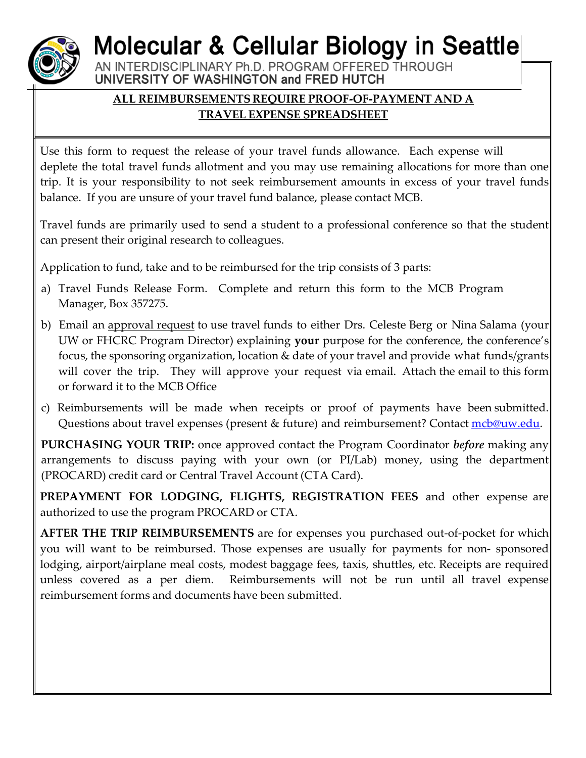## **Molecular & Cellular Biology in Seattle**

AN INTERDISCIPLINARY Ph.D. PROGRAM OFFERED THROUGH UNIVERSITY OF WASHINGTON and FRED HUTCH

## **ALL REIMBURSEMENTS REQUIRE PROOF-OF-PAYMENT AND A TRAVEL EXPENSE SPREADSHEET**

Use this form to request the release of your travel funds allowance. Each expense will deplete the total travel funds allotment and you may use remaining allocations for more than one trip. It is your responsibility to not seek reimbursement amounts in excess of your travel funds balance. If you are unsure of your travel fund balance, please contact MCB.

Travel funds are primarily used to send a student to a professional conference so that the student can present their original research to colleagues.

Application to fund, take and to be reimbursed for the trip consists of 3 parts:

- a) Travel Funds Release Form. Complete and return this form to the MCB Program Manager, Box 357275.
- b) Email an approval request to use travel funds to either Drs. Celeste Berg or Nina Salama (your UW or FHCRC Program Director) explaining **your** purpose for the conference, the conference's focus, the sponsoring organization, location & date of your travel and provide what funds/grants will cover the trip. They will approve your request via email. Attach the email to this form or forward it to the MCB Office
- c) Reimbursements will be made when receipts or proof of payments have been submitted. Questions about travel expenses (present & future) and reimbursement? Contact [mcb@uw.edu.](mailto:mcb@uw.edu)

**PURCHASING YOUR TRIP:** once approved contact the Program Coordinator *before* making any arrangements to discuss paying with your own (or PI/Lab) money, using the department (PROCARD) credit card or Central Travel Account (CTA Card).

**PREPAYMENT FOR LODGING, FLIGHTS, REGISTRATION FEES** and other expense are authorized to use the program PROCARD or CTA.

**AFTER THE TRIP REIMBURSEMENTS** are for expenses you purchased out-of-pocket for which you will want to be reimbursed. Those expenses are usually for payments for non- sponsored lodging, airport/airplane meal costs, modest baggage fees, taxis, shuttles, etc. Receipts are required unless covered as a per diem. Reimbursements will not be run until all travel expense reimbursement forms and documents have been submitted.